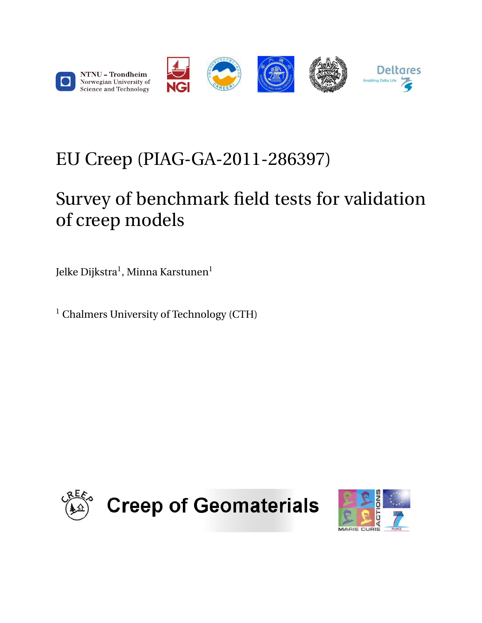

# <span id="page-0-0"></span>EU Creep (PIAG-GA-2011-286397)

# Survey of benchmark field tests for validation of creep models

Jelke Dijkstra $^{\rm l}$ , Minna Karstunen $^{\rm l}$ 

<sup>1</sup> Chalmers University of Technology (CTH)



**Creep of Geomaterials** 

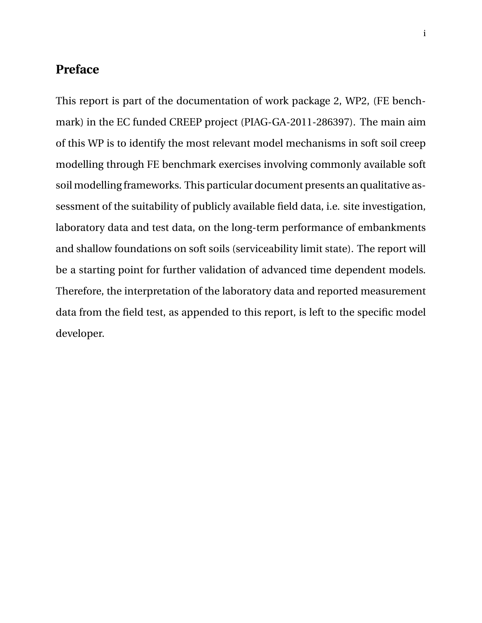### **Preface**

This report is part of the documentation of work package 2, WP2, (FE benchmark) in the EC funded CREEP project (PIAG-GA-2011-286397). The main aim of this WP is to identify the most relevant model mechanisms in soft soil creep modelling through FE benchmark exercises involving commonly available soft soil modelling frameworks. This particular document presents an qualitative assessment of the suitability of publicly available field data, i.e. site investigation, laboratory data and test data, on the long-term performance of embankments and shallow foundations on soft soils (serviceability limit state). The report will be a starting point for further validation of advanced time dependent models. Therefore, the interpretation of the laboratory data and reported measurement data from the field test, as appended to this report, is left to the specific model developer.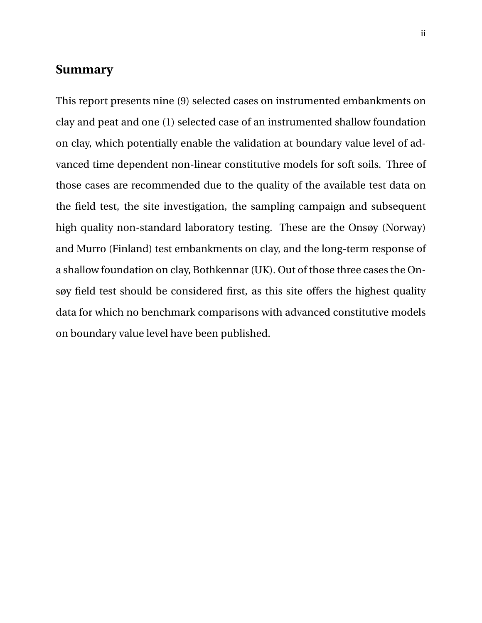### **Summary**

This report presents nine (9) selected cases on instrumented embankments on clay and peat and one (1) selected case of an instrumented shallow foundation on clay, which potentially enable the validation at boundary value level of advanced time dependent non-linear constitutive models for soft soils. Three of those cases are recommended due to the quality of the available test data on the field test, the site investigation, the sampling campaign and subsequent high quality non-standard laboratory testing. These are the Onsøy (Norway) and Murro (Finland) test embankments on clay, and the long-term response of a shallow foundation on clay, Bothkennar (UK). Out of those three cases the Onsøy field test should be considered first, as this site offers the highest quality data for which no benchmark comparisons with advanced constitutive models on boundary value level have been published.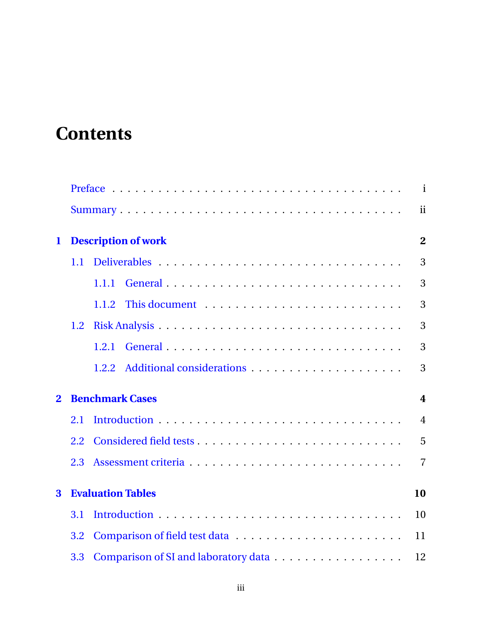# **Contents**

|                |                  |                            | $\mathbf{i}$            |
|----------------|------------------|----------------------------|-------------------------|
|                |                  |                            | ii                      |
| $\mathbf 1$    |                  | <b>Description of work</b> | $\overline{2}$          |
|                | 1.1              |                            | 3                       |
|                |                  | 1.1.1                      | 3                       |
|                |                  | 1.1.2                      | 3                       |
|                | $1.2\phantom{0}$ |                            | 3                       |
|                |                  | 1.2.1                      | 3                       |
|                |                  | 1.2.2                      | 3                       |
| $\overline{2}$ |                  | <b>Benchmark Cases</b>     | $\overline{\mathbf{4}}$ |
|                | 2.1              |                            | $\overline{4}$          |
|                | 2.2              |                            | 5                       |
|                | 2.3              |                            | $\overline{7}$          |
| 3              |                  | <b>Evaluation Tables</b>   | 10                      |
|                | 3.1              |                            | 10                      |
|                | 3.2              |                            | 11                      |
|                | 3.3              |                            | 12                      |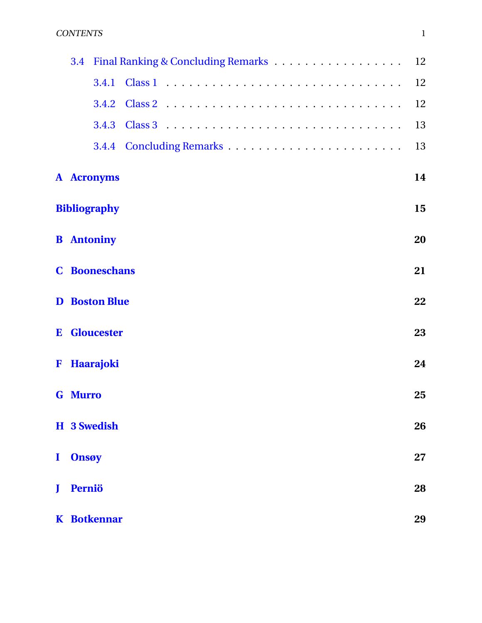#### CONTENTS 1

|              | 3.4            |                      | 12 |
|--------------|----------------|----------------------|----|
|              |                | 3.4.1                | 12 |
|              |                |                      | 12 |
|              |                |                      | 13 |
|              |                |                      | 13 |
|              |                | <b>A</b> Acronyms    | 14 |
|              |                | <b>Bibliography</b>  | 15 |
|              |                | <b>B</b> Antoniny    | 20 |
|              |                | <b>C</b> Booneschans | 21 |
|              |                | <b>D</b> Boston Blue | 22 |
|              |                | <b>E</b> Gloucester  | 23 |
|              |                | F Haarajoki          | 24 |
|              | <b>G</b> Murro |                      | 25 |
|              |                | H 3 Swedish          | 26 |
| $\mathbf{I}$ | <b>Onsøy</b>   |                      | 27 |
| J            | Perniö         |                      | 28 |
|              |                | <b>K</b> Botkennar   | 29 |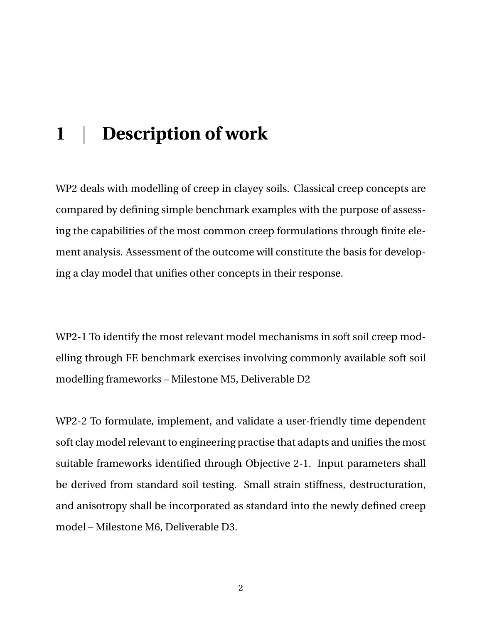## <span id="page-5-0"></span>**1 | Description of work**

WP2 deals with modelling of creep in clayey soils. Classical creep concepts are compared by defining simple benchmark examples with the purpose of assessing the capabilities of the most common creep formulations through finite element analysis. Assessment of the outcome will constitute the basis for developing a clay model that unifies other concepts in their response.

WP2-1 To identify the most relevant model mechanisms in soft soil creep modelling through FE benchmark exercises involving commonly available soft soil modelling frameworks – Milestone M5, Deliverable D2

<span id="page-5-1"></span>WP2-2 To formulate, implement, and validate a user-friendly time dependent soft clay model relevant to engineering practise that adapts and unifies the most suitable frameworks identified through Objective 2-1. Input parameters shall be derived from standard soil testing. Small strain stiffness, destructuration, and anisotropy shall be incorporated as standard into the newly defined creep model – Milestone M6, Deliverable D3.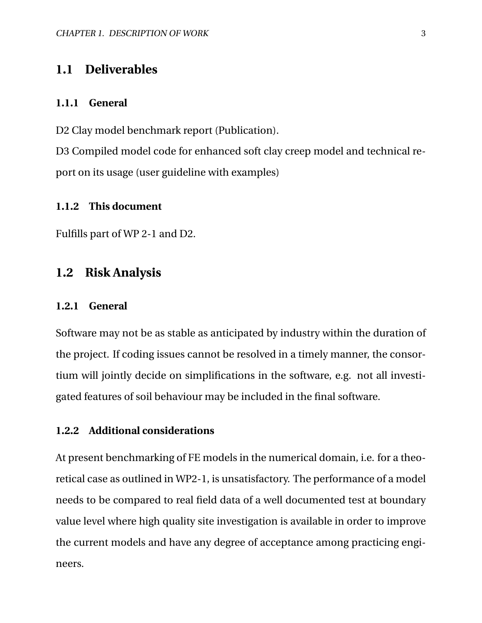### **1.1 Deliverables**

#### <span id="page-6-0"></span>**1.1.1 General**

D2 Clay model benchmark report (Publication).

D3 Compiled model code for enhanced soft clay creep model and technical report on its usage (user guideline with examples)

#### <span id="page-6-1"></span>**1.1.2 This document**

<span id="page-6-2"></span>Fulfills part of WP 2-1 and D2.

### **1.2 Risk Analysis**

#### <span id="page-6-3"></span>**1.2.1 General**

Software may not be as stable as anticipated by industry within the duration of the project. If coding issues cannot be resolved in a timely manner, the consortium will jointly decide on simplifications in the software, e.g. not all investigated features of soil behaviour may be included in the final software.

#### <span id="page-6-4"></span>**1.2.2 Additional considerations**

At present benchmarking of FE models in the numerical domain, i.e. for a theoretical case as outlined in WP2-1, is unsatisfactory. The performance of a model needs to be compared to real field data of a well documented test at boundary value level where high quality site investigation is available in order to improve the current models and have any degree of acceptance among practicing engineers.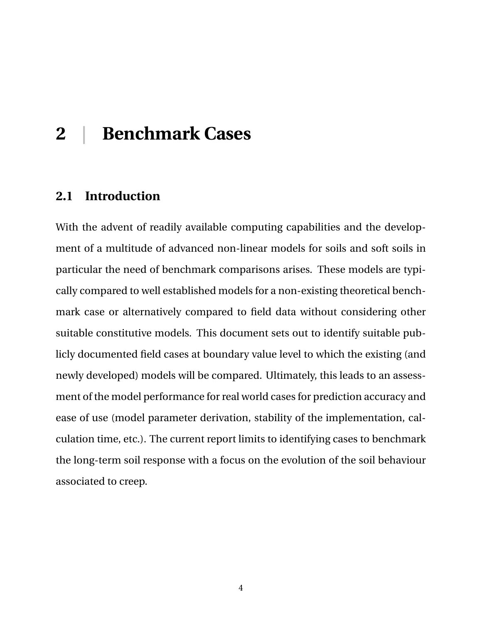## <span id="page-7-0"></span>**2 | Benchmark Cases**

### <span id="page-7-1"></span>**2.1 Introduction**

<span id="page-7-2"></span>With the advent of readily available computing capabilities and the development of a multitude of advanced non-linear models for soils and soft soils in particular the need of benchmark comparisons arises. These models are typically compared to well established models for a non-existing theoretical benchmark case or alternatively compared to field data without considering other suitable constitutive models. This document sets out to identify suitable publicly documented field cases at boundary value level to which the existing (and newly developed) models will be compared. Ultimately, this leads to an assessment of the model performance for real world cases for prediction accuracy and ease of use (model parameter derivation, stability of the implementation, calculation time, etc.). The current report limits to identifying cases to benchmark the long-term soil response with a focus on the evolution of the soil behaviour associated to creep.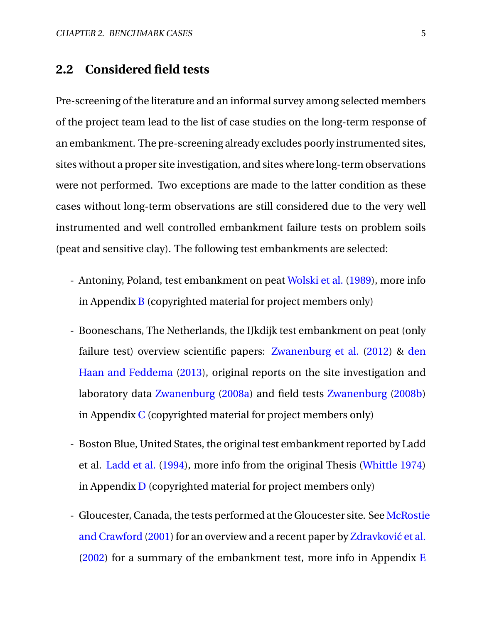### **2.2 Considered field tests**

Pre-screening of the literature and an informal survey among selected members of the project team lead to the list of case studies on the long-term response of an embankment. The pre-screening already excludes poorly instrumented sites, sites without a proper site investigation, and sites where long-term observations were not performed. Two exceptions are made to the latter condition as these cases without long-term observations are still considered due to the very well instrumented and well controlled embankment failure tests on problem soils (peat and sensitive clay). The following test embankments are selected:

- Antoniny, Poland, test embankment on peat [Wolski et al.](#page-22-0) [\(1989\)](#page-22-0), more info in Appendix  $\bf{B}$  $\bf{B}$  $\bf{B}$  (copyrighted material for project members only)
- Booneschans, The Netherlands, the IJkdijk test embankment on peat (only failure test) overview scientific papers: [Zwanenburg et al.](#page-22-1) [\(2012\)](#page-22-1) & [den](#page-19-0) [Haan and Feddema](#page-19-0) [\(2013\)](#page-19-0), original reports on the site investigation and laboratory data [Zwanenburg](#page-22-2) [\(2008a\)](#page-22-2) and field tests [Zwanenburg](#page-22-3) [\(2008b\)](#page-22-3) in Appendix  $C$  (copyrighted material for project members only)
- Boston Blue, United States, the original test embankment reported by Ladd et al. [Ladd et al.](#page-20-0) [\(1994\)](#page-20-0), more info from the original Thesis [\(Whittle](#page-22-4) [1974\)](#page-22-4) in Appendix  $\bf{D}$  $\bf{D}$  $\bf{D}$  (copyrighted material for project members only)
- Gloucester, Canada, the tests performed at the Gloucester site. See [McRostie](#page-21-0) [and Crawford](#page-21-0) [\(2001\)](#page-21-0) for an overview and a recent paper by Zdravković et al. [\(2002\)](#page-22-5) for a summary of the embankment test, more info in Appendix  $E$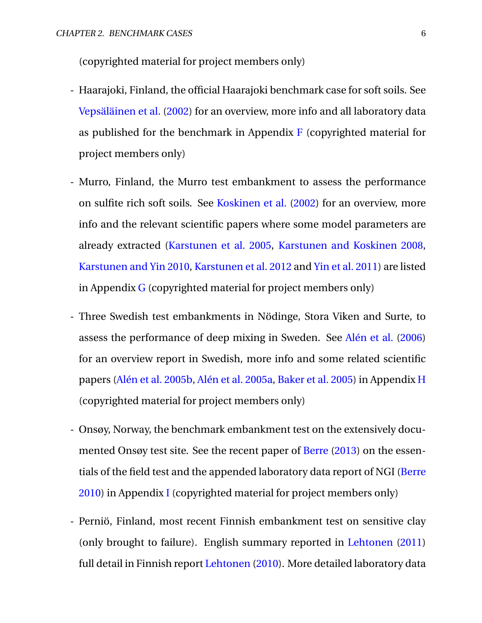(copyrighted material for project members only)

- Haarajoki, Finland, the official Haarajoki benchmark case for soft soils. See [Vepsäläinen et al.](#page-22-6) [\(2002\)](#page-22-6) for an overview, more info and all laboratory data as published for the benchmark in Appendix  $\bf{F}$  $\bf{F}$  $\bf{F}$  (copyrighted material for project members only)
- Murro, Finland, the Murro test embankment to assess the performance on sulfite rich soft soils. See [Koskinen et al.](#page-20-1) [\(2002\)](#page-20-1) for an overview, more info and the relevant scientific papers where some model parameters are already extracted [\(Karstunen et al.](#page-20-2) [2005,](#page-20-2) [Karstunen and Koskinen](#page-20-3) [2008,](#page-20-3) [Karstunen and Yin](#page-20-4) [2010,](#page-20-4) [Karstunen et al.](#page-20-5) [2012](#page-20-5) and [Yin et al.](#page-22-7) [2011\)](#page-22-7) are listed in Appendix  $G$  (copyrighted material for project members only)
- Three Swedish test embankments in Nödinge, Stora Viken and Surte, to assess the performance of deep mixing in Sweden. See [Alén et al.](#page-18-0) [\(2006\)](#page-18-0) for an overview report in Swedish, more info and some related scientific papers [\(Alén et al.](#page-18-1) [2005b,](#page-18-1) [Alén et al.](#page-18-2) [2005a,](#page-18-2) [Baker et al.](#page-18-3) [2005\)](#page-18-3) in Appendix [H](#page-29-0) (copyrighted material for project members only)
- Onsøy, Norway, the benchmark embankment test on the extensively documented Onsøy test site. See the recent paper of [Berre](#page-19-1) [\(2013\)](#page-19-1) on the essentials of the field test and the appended laboratory data report of NGI [\(Berre](#page-19-2) [2010\)](#page-19-2) in Appendix [I](#page-30-0) (copyrighted material for project members only)
- Perniö, Finland, most recent Finnish embankment test on sensitive clay (only brought to failure). English summary reported in [Lehtonen](#page-21-1) [\(2011\)](#page-21-1) full detail in Finnish report [Lehtonen](#page-20-6) [\(2010\)](#page-20-6). More detailed laboratory data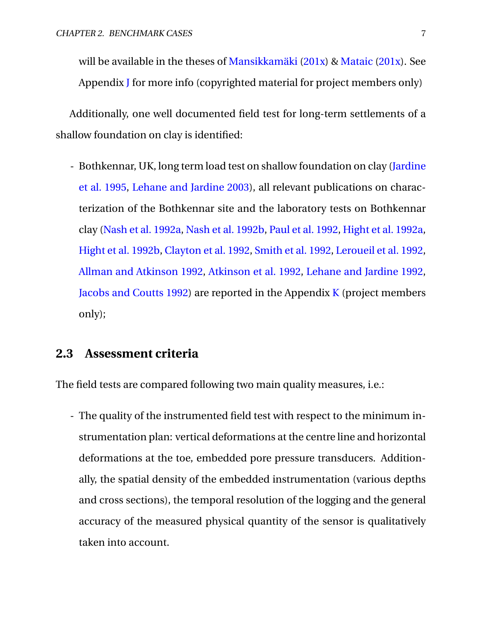will be available in the theses of [Mansikkamäki](#page-21-2) [\(201x\)](#page-21-2) & [Mataic](#page-21-3) [\(201x\)](#page-21-3). See Appendix [J](#page-31-0) for more info (copyrighted material for project members only)

Additionally, one well documented field test for long-term settlements of a shallow foundation on clay is identified:

- Bothkennar, UK, long term load test on shallow foundation on clay [\(Jardine](#page-19-3) [et al.](#page-19-3) [1995,](#page-19-3) [Lehane and Jardine](#page-20-7) [2003\)](#page-20-7), all relevant publications on characterization of the Bothkennar site and the laboratory tests on Bothkennar clay [\(Nash et al.](#page-21-4) [1992a,](#page-21-4) [Nash et al.](#page-21-5) [1992b,](#page-21-5) [Paul et al.](#page-21-6) [1992,](#page-21-6) [Hight et al.](#page-19-4) [1992a,](#page-19-4) [Hight et al.](#page-19-5) [1992b,](#page-19-5) [Clayton et al.](#page-19-6) [1992,](#page-19-6) [Smith et al.](#page-21-7) [1992,](#page-21-7) [Leroueil et al.](#page-21-8) [1992,](#page-21-8) [Allman and Atkinson](#page-18-4) [1992,](#page-18-4) [Atkinson et al.](#page-18-5) [1992,](#page-18-5) [Lehane and Jardine](#page-20-8) [1992,](#page-20-8) [Jacobs and Coutts](#page-19-7) [1992\)](#page-19-7) are reported in the Appendix [K](#page-32-0) (project members only);

### <span id="page-10-0"></span>**2.3 Assessment criteria**

The field tests are compared following two main quality measures, i.e.:

- The quality of the instrumented field test with respect to the minimum instrumentation plan: vertical deformations at the centre line and horizontal deformations at the toe, embedded pore pressure transducers. Additionally, the spatial density of the embedded instrumentation (various depths and cross sections), the temporal resolution of the logging and the general accuracy of the measured physical quantity of the sensor is qualitatively taken into account.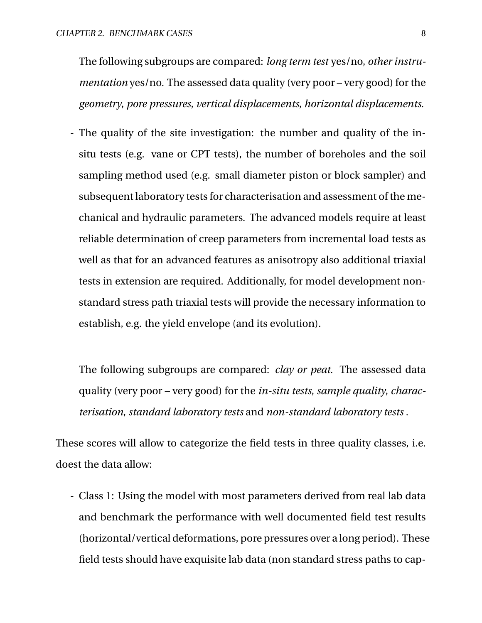The following subgroups are compared: *long term test* yes/no, *other instrumentation* yes/no. The assessed data quality (very poor – very good) for the *geometry*, *pore pressures*, *vertical displacements*, *horizontal displacements*.

- The quality of the site investigation: the number and quality of the insitu tests (e.g. vane or CPT tests), the number of boreholes and the soil sampling method used (e.g. small diameter piston or block sampler) and subsequent laboratory tests for characterisation and assessment of the mechanical and hydraulic parameters. The advanced models require at least reliable determination of creep parameters from incremental load tests as well as that for an advanced features as anisotropy also additional triaxial tests in extension are required. Additionally, for model development nonstandard stress path triaxial tests will provide the necessary information to establish, e.g. the yield envelope (and its evolution).

The following subgroups are compared: *clay or peat*. The assessed data quality (very poor – very good) for the *in-situ tests*, *sample quality*, *characterisation*, *standard laboratory tests* and *non-standard laboratory tests* .

These scores will allow to categorize the field tests in three quality classes, i.e. doest the data allow:

- Class 1: Using the model with most parameters derived from real lab data and benchmark the performance with well documented field test results (horizontal/vertical deformations, pore pressures over a long period). These field tests should have exquisite lab data (non standard stress paths to cap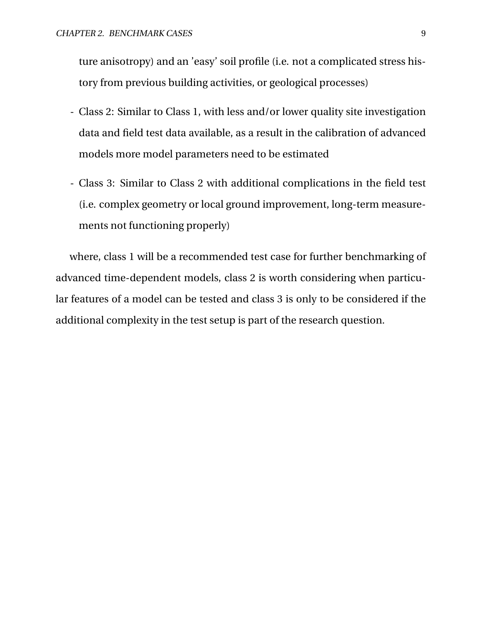ture anisotropy) and an 'easy' soil profile (i.e. not a complicated stress history from previous building activities, or geological processes)

- Class 2: Similar to Class 1, with less and/or lower quality site investigation data and field test data available, as a result in the calibration of advanced models more model parameters need to be estimated
- Class 3: Similar to Class 2 with additional complications in the field test (i.e. complex geometry or local ground improvement, long-term measurements not functioning properly)

where, class 1 will be a recommended test case for further benchmarking of advanced time-dependent models, class 2 is worth considering when particular features of a model can be tested and class 3 is only to be considered if the additional complexity in the test setup is part of the research question.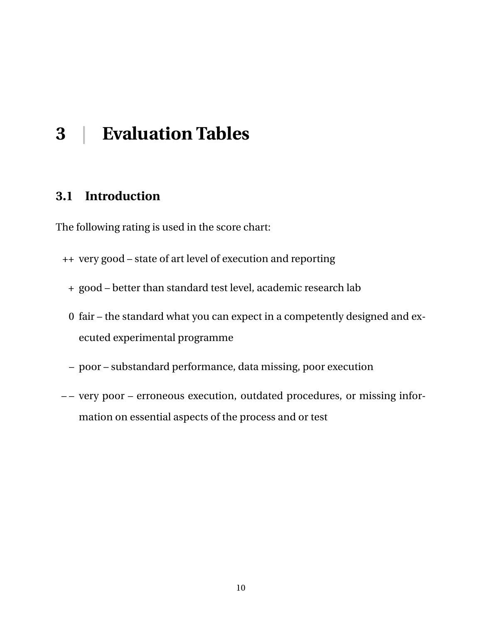## <span id="page-13-0"></span>**3 | Evaluation Tables**

### <span id="page-13-1"></span>**3.1 Introduction**

The following rating is used in the score chart:

- ++ very good state of art level of execution and reporting
	- + good better than standard test level, academic research lab
	- 0 fair the standard what you can expect in a competently designed and executed experimental programme
	- poor substandard performance, data missing, poor execution
- – very poor erroneous execution, outdated procedures, or missing information on essential aspects of the process and or test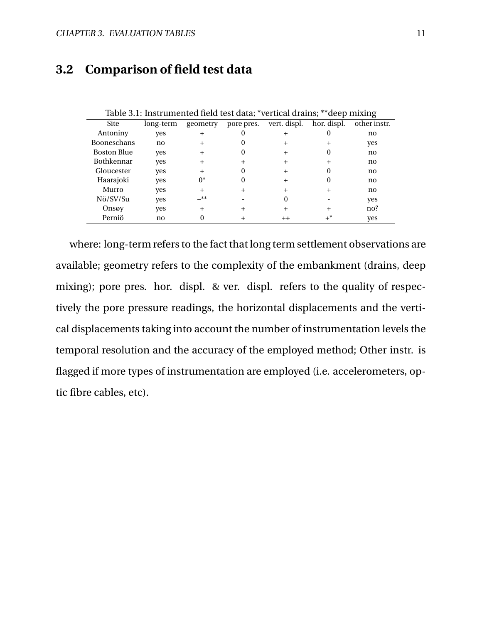### <span id="page-14-0"></span>**3.2 Comparison of field test data**

|                    |           |          |            |                 |             | o            |
|--------------------|-----------|----------|------------|-----------------|-------------|--------------|
| <b>Site</b>        | long-term | geometry | pore pres. | vert. displ.    | hor. displ. | other instr. |
| Antoniny           | ves       |          |            |                 |             | no           |
| <b>Booneschans</b> | no        |          |            |                 |             | yes          |
| <b>Boston Blue</b> | yes       |          |            |                 |             | no           |
| <b>Bothkennar</b>  | ves       |          |            |                 |             | no           |
| Gloucester         | ves       |          |            |                 |             | no           |
| Haarajoki          | yes       | $0^*$    |            |                 |             | no           |
| Murro              | yes       |          |            |                 |             | no           |
| Nö/SV/Su           | ves       | _**      |            |                 |             | yes          |
| Onsøy              | yes       |          |            |                 |             | no?          |
| Perniö             | no        |          |            | $^{\mathrm{+}}$ | $+^*$       | yes          |

Table 3.1: Instrumented field test data; \*vertical drains; \*\*deep mixing

where: long-term refers to the fact that long term settlement observations are available; geometry refers to the complexity of the embankment (drains, deep mixing); pore pres. hor. displ. & ver. displ. refers to the quality of respectively the pore pressure readings, the horizontal displacements and the vertical displacements taking into account the number of instrumentation levels the temporal resolution and the accuracy of the employed method; Other instr. is flagged if more types of instrumentation are employed (i.e. accelerometers, optic fibre cables, etc).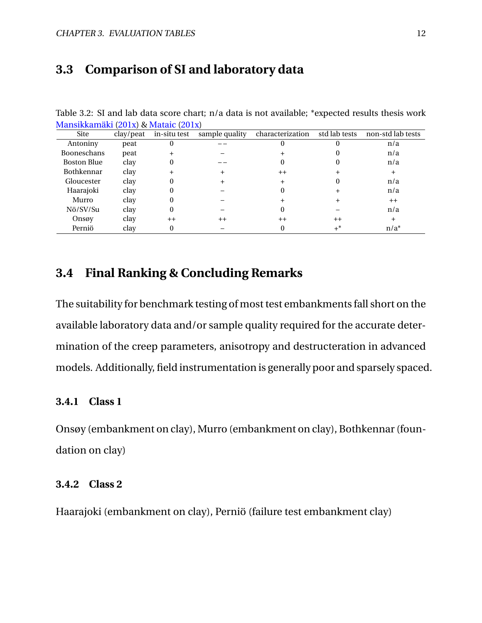### <span id="page-15-0"></span>**3.3 Comparison of SI and laboratory data**

| Site               | clay/peat | $\frac{1}{2}$ = $\frac{1}{2}$ = $\frac{1}{2}$ = $\frac{1}{2}$ = $\frac{1}{2}$ = $\frac{1}{2}$ = $\frac{1}{2}$<br>in-situ test | sample quality | characterization | std lab tests | non-std lab tests |
|--------------------|-----------|-------------------------------------------------------------------------------------------------------------------------------|----------------|------------------|---------------|-------------------|
| Antoniny           | peat      |                                                                                                                               |                |                  |               | n/a               |
| Booneschans        | peat      |                                                                                                                               |                |                  |               | n/a               |
| <b>Boston Blue</b> | clay      |                                                                                                                               |                |                  |               | n/a               |
| <b>Bothkennar</b>  | clay      |                                                                                                                               |                | $^{++}$          |               |                   |
| Gloucester         | clay      |                                                                                                                               |                |                  |               | n/a               |
| Haarajoki          | clay      |                                                                                                                               |                |                  |               | n/a               |
| Murro              | clay      |                                                                                                                               |                |                  |               | $^{++}$           |
| Nö/SV/Su           | clay      |                                                                                                                               |                |                  |               | n/a               |
| Onsøy              | clay      | $++$                                                                                                                          | $^{++}$        | $^{++}$          | $^{++}$       |                   |
| Perniö             | clay      |                                                                                                                               |                |                  | $+^*$         | $n/a^*$           |

Table 3.2: SI and lab data score chart; n/a data is not available; \*expected results thesis work [Mansikkamäki](#page-21-2) [\(201x\)](#page-21-2) & [Mataic](#page-21-3) [\(201x\)](#page-21-3)

### <span id="page-15-1"></span>**3.4 Final Ranking & Concluding Remarks**

The suitability for benchmark testing of most test embankments fall short on the available laboratory data and/or sample quality required for the accurate determination of the creep parameters, anisotropy and destructeration in advanced models. Additionally, field instrumentation is generally poor and sparsely spaced.

#### <span id="page-15-2"></span>**3.4.1 Class 1**

Onsøy (embankment on clay), Murro (embankment on clay), Bothkennar (foundation on clay)

### <span id="page-15-3"></span>**3.4.2 Class 2**

<span id="page-15-4"></span>Haarajoki (embankment on clay), Perniö (failure test embankment clay)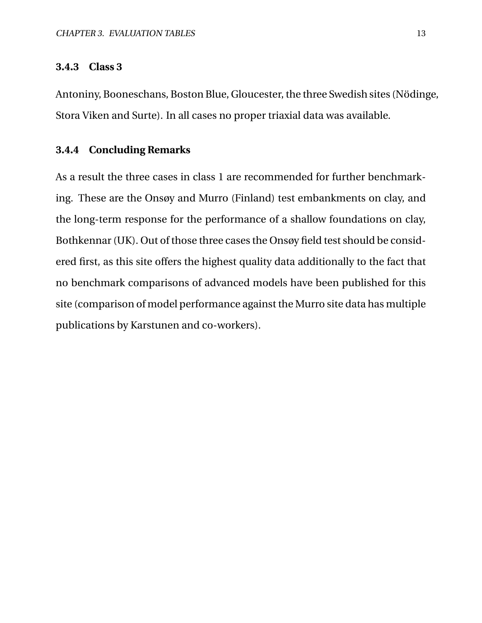#### **3.4.3 Class 3**

Antoniny, Booneschans, Boston Blue, Gloucester, the three Swedish sites (Nödinge, Stora Viken and Surte). In all cases no proper triaxial data was available.

#### <span id="page-16-0"></span>**3.4.4 Concluding Remarks**

As a result the three cases in class 1 are recommended for further benchmarking. These are the Onsøy and Murro (Finland) test embankments on clay, and the long-term response for the performance of a shallow foundations on clay, Bothkennar (UK). Out of those three cases the Onsøy field test should be considered first, as this site offers the highest quality data additionally to the fact that no benchmark comparisons of advanced models have been published for this site (comparison of model performance against the Murro site data has multiple publications by Karstunen and co-workers).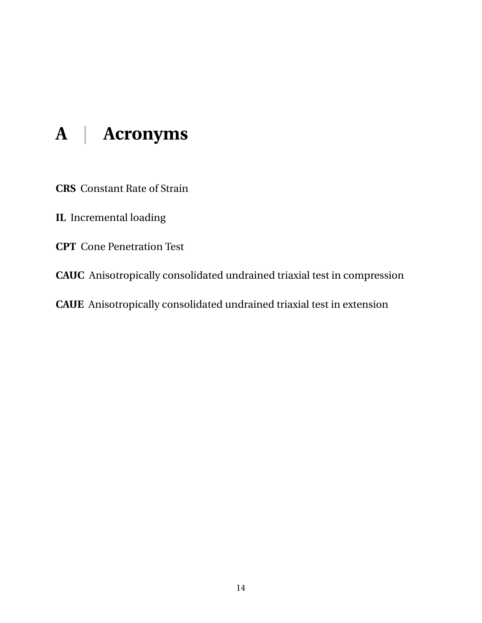## <span id="page-17-0"></span>**A | Acronyms**

**CRS** Constant Rate of Strain

**IL** Incremental loading

**CPT** Cone Penetration Test

**CAUC** Anisotropically consolidated undrained triaxial test in compression

**CAUE** Anisotropically consolidated undrained triaxial test in extension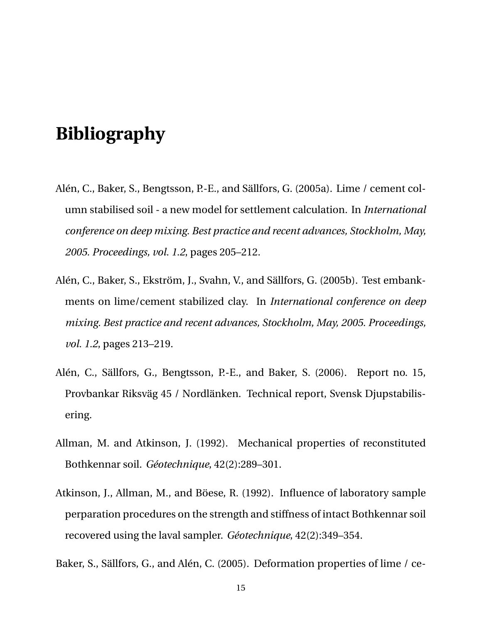## **Bibliography**

- <span id="page-18-2"></span>Alén, C., Baker, S., Bengtsson, P.-E., and Sällfors, G. (2005a). Lime / cement column stabilised soil - a new model for settlement calculation. In *International conference on deep mixing. Best practice and recent advances, Stockholm, May, 2005. Proceedings, vol. 1.2*, pages 205–212.
- <span id="page-18-1"></span>Alén, C., Baker, S., Ekström, J., Svahn, V., and Sällfors, G. (2005b). Test embankments on lime/cement stabilized clay. In *International conference on deep mixing. Best practice and recent advances, Stockholm, May, 2005. Proceedings, vol. 1.2*, pages 213–219.
- <span id="page-18-0"></span>Alén, C., Sällfors, G., Bengtsson, P.-E., and Baker, S. (2006). Report no. 15, Provbankar Riksväg 45 / Nordlänken. Technical report, Svensk Djupstabilisering.
- <span id="page-18-4"></span>Allman, M. and Atkinson, J. (1992). Mechanical properties of reconstituted Bothkennar soil. *Géotechnique*, 42(2):289–301.
- <span id="page-18-5"></span>Atkinson, J., Allman, M., and Böese, R. (1992). Influence of laboratory sample perparation procedures on the strength and stiffness of intact Bothkennar soil recovered using the laval sampler. *Géotechnique*, 42(2):349–354.

<span id="page-18-3"></span>Baker, S., Sällfors, G., and Alén, C. (2005). Deformation properties of lime / ce-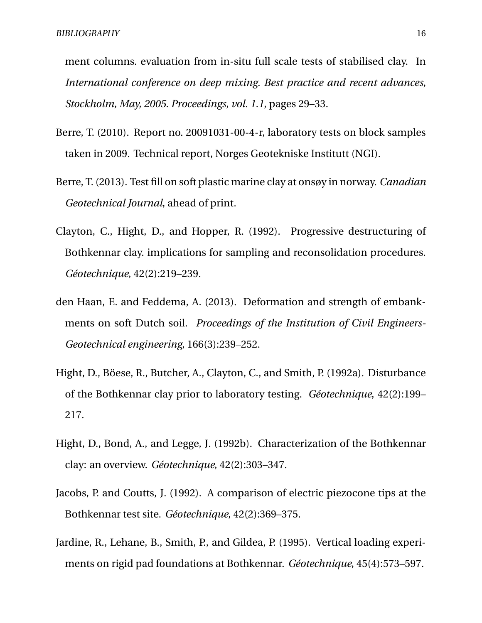ment columns. evaluation from in-situ full scale tests of stabilised clay. In *International conference on deep mixing. Best practice and recent advances, Stockholm, May, 2005. Proceedings, vol. 1.1*, pages 29–33.

- <span id="page-19-2"></span>Berre, T. (2010). Report no. 20091031-00-4-r, laboratory tests on block samples taken in 2009. Technical report, Norges Geotekniske Institutt (NGI).
- <span id="page-19-1"></span>Berre, T. (2013). Test fill on soft plastic marine clay at onsøy in norway. *Canadian Geotechnical Journal*, ahead of print.
- <span id="page-19-6"></span>Clayton, C., Hight, D., and Hopper, R. (1992). Progressive destructuring of Bothkennar clay. implications for sampling and reconsolidation procedures. *Géotechnique*, 42(2):219–239.
- <span id="page-19-0"></span>den Haan, E. and Feddema, A. (2013). Deformation and strength of embankments on soft Dutch soil. *Proceedings of the Institution of Civil Engineers-Geotechnical engineering*, 166(3):239–252.
- <span id="page-19-4"></span>Hight, D., Böese, R., Butcher, A., Clayton, C., and Smith, P. (1992a). Disturbance of the Bothkennar clay prior to laboratory testing. *Géotechnique*, 42(2):199– 217.
- <span id="page-19-5"></span>Hight, D., Bond, A., and Legge, J. (1992b). Characterization of the Bothkennar clay: an overview. *Géotechnique*, 42(2):303–347.
- <span id="page-19-7"></span>Jacobs, P. and Coutts, J. (1992). A comparison of electric piezocone tips at the Bothkennar test site. *Géotechnique*, 42(2):369–375.
- <span id="page-19-3"></span>Jardine, R., Lehane, B., Smith, P., and Gildea, P. (1995). Vertical loading experiments on rigid pad foundations at Bothkennar. *Géotechnique*, 45(4):573–597.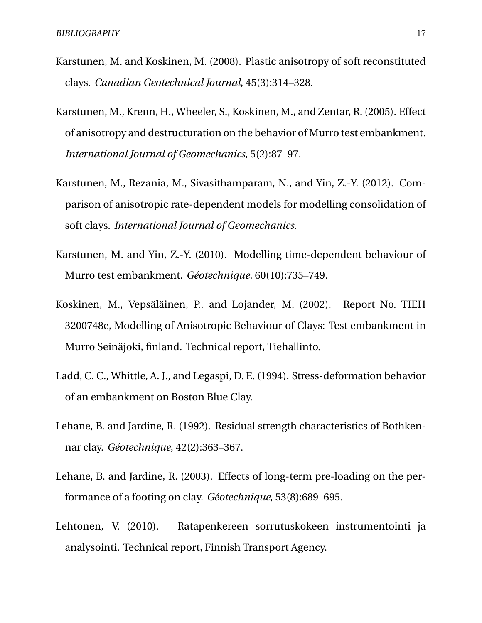- <span id="page-20-3"></span>Karstunen, M. and Koskinen, M. (2008). Plastic anisotropy of soft reconstituted clays. *Canadian Geotechnical Journal*, 45(3):314–328.
- <span id="page-20-2"></span>Karstunen, M., Krenn, H., Wheeler, S., Koskinen, M., and Zentar, R. (2005). Effect of anisotropy and destructuration on the behavior of Murro test embankment. *International Journal of Geomechanics*, 5(2):87–97.
- <span id="page-20-5"></span>Karstunen, M., Rezania, M., Sivasithamparam, N., and Yin, Z.-Y. (2012). Comparison of anisotropic rate-dependent models for modelling consolidation of soft clays. *International Journal of Geomechanics*.
- <span id="page-20-4"></span>Karstunen, M. and Yin, Z.-Y. (2010). Modelling time-dependent behaviour of Murro test embankment. *Géotechnique*, 60(10):735–749.
- <span id="page-20-1"></span>Koskinen, M., Vepsäläinen, P., and Lojander, M. (2002). Report No. TIEH 3200748e, Modelling of Anisotropic Behaviour of Clays: Test embankment in Murro Seinäjoki, finland. Technical report, Tiehallinto.
- <span id="page-20-0"></span>Ladd, C. C., Whittle, A. J., and Legaspi, D. E. (1994). Stress-deformation behavior of an embankment on Boston Blue Clay.
- <span id="page-20-8"></span>Lehane, B. and Jardine, R. (1992). Residual strength characteristics of Bothkennar clay. *Géotechnique*, 42(2):363–367.
- <span id="page-20-7"></span>Lehane, B. and Jardine, R. (2003). Effects of long-term pre-loading on the performance of a footing on clay. *Géotechnique*, 53(8):689–695.
- <span id="page-20-6"></span>Lehtonen, V. (2010). Ratapenkereen sorrutuskokeen instrumentointi ja analysointi. Technical report, Finnish Transport Agency.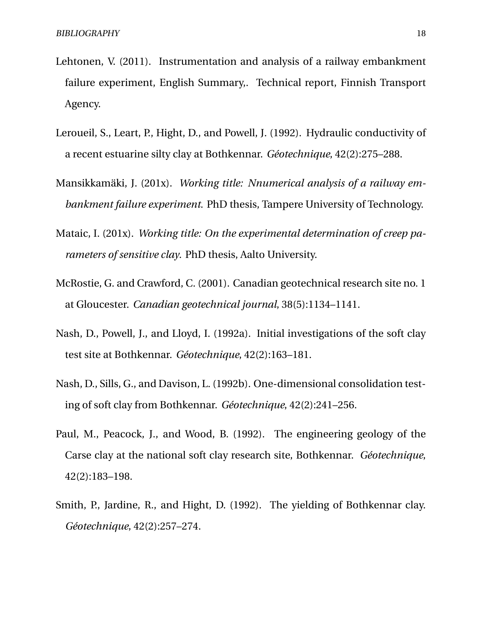- <span id="page-21-1"></span>Lehtonen, V. (2011). Instrumentation and analysis of a railway embankment failure experiment, English Summary,. Technical report, Finnish Transport Agency.
- <span id="page-21-8"></span>Leroueil, S., Leart, P., Hight, D., and Powell, J. (1992). Hydraulic conductivity of a recent estuarine silty clay at Bothkennar. *Géotechnique*, 42(2):275–288.
- <span id="page-21-2"></span>Mansikkamäki, J. (201x). *Working title: Nnumerical analysis of a railway embankment failure experiment*. PhD thesis, Tampere University of Technology.
- <span id="page-21-3"></span>Mataic, I. (201x). *Working title: On the experimental determination of creep parameters of sensitive clay*. PhD thesis, Aalto University.
- <span id="page-21-0"></span>McRostie, G. and Crawford, C. (2001). Canadian geotechnical research site no. 1 at Gloucester. *Canadian geotechnical journal*, 38(5):1134–1141.
- <span id="page-21-4"></span>Nash, D., Powell, J., and Lloyd, I. (1992a). Initial investigations of the soft clay test site at Bothkennar. *Géotechnique*, 42(2):163–181.
- <span id="page-21-5"></span>Nash, D., Sills, G., and Davison, L. (1992b). One-dimensional consolidation testing of soft clay from Bothkennar. *Géotechnique*, 42(2):241–256.
- <span id="page-21-6"></span>Paul, M., Peacock, J., and Wood, B. (1992). The engineering geology of the Carse clay at the national soft clay research site, Bothkennar. *Géotechnique*, 42(2):183–198.
- <span id="page-21-7"></span>Smith, P., Jardine, R., and Hight, D. (1992). The yielding of Bothkennar clay. *Géotechnique*, 42(2):257–274.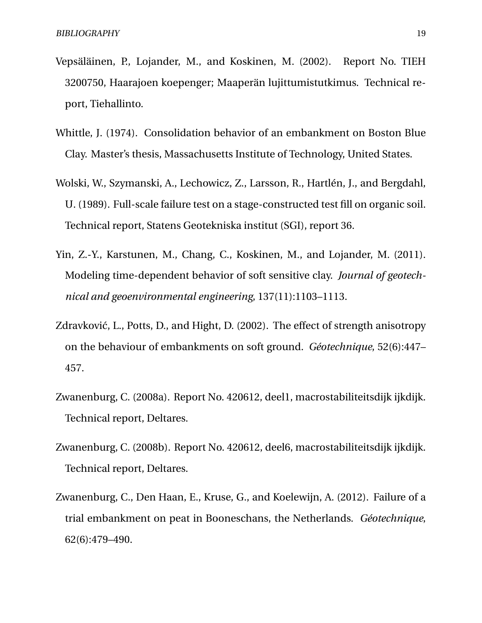- <span id="page-22-6"></span>Vepsäläinen, P., Lojander, M., and Koskinen, M. (2002). Report No. TIEH 3200750, Haarajoen koepenger; Maaperän lujittumistutkimus. Technical report, Tiehallinto.
- <span id="page-22-4"></span>Whittle, J. (1974). Consolidation behavior of an embankment on Boston Blue Clay. Master's thesis, Massachusetts Institute of Technology, United States.
- <span id="page-22-0"></span>Wolski, W., Szymanski, A., Lechowicz, Z., Larsson, R., Hartlén, J., and Bergdahl, U. (1989). Full-scale failure test on a stage-constructed test fill on organic soil. Technical report, Statens Geotekniska institut (SGI), report 36.
- <span id="page-22-7"></span>Yin, Z.-Y., Karstunen, M., Chang, C., Koskinen, M., and Lojander, M. (2011). Modeling time-dependent behavior of soft sensitive clay. *Journal of geotechnical and geoenvironmental engineering*, 137(11):1103–1113.
- <span id="page-22-5"></span>Zdravković, L., Potts, D., and Hight, D. (2002). The effect of strength anisotropy on the behaviour of embankments on soft ground. *Géotechnique*, 52(6):447– 457.
- <span id="page-22-2"></span>Zwanenburg, C. (2008a). Report No. 420612, deel1, macrostabiliteitsdijk ijkdijk. Technical report, Deltares.
- <span id="page-22-3"></span>Zwanenburg, C. (2008b). Report No. 420612, deel6, macrostabiliteitsdijk ijkdijk. Technical report, Deltares.
- <span id="page-22-1"></span>Zwanenburg, C., Den Haan, E., Kruse, G., and Koelewijn, A. (2012). Failure of a trial embankment on peat in Booneschans, the Netherlands. *Géotechnique*, 62(6):479–490.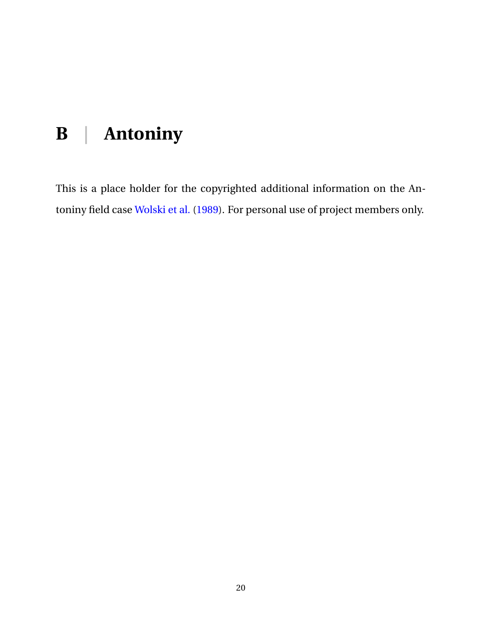# <span id="page-23-0"></span>**B | Antoniny**

This is a place holder for the copyrighted additional information on the Antoniny field case [Wolski et al.](#page-22-0) [\(1989\)](#page-22-0). For personal use of project members only.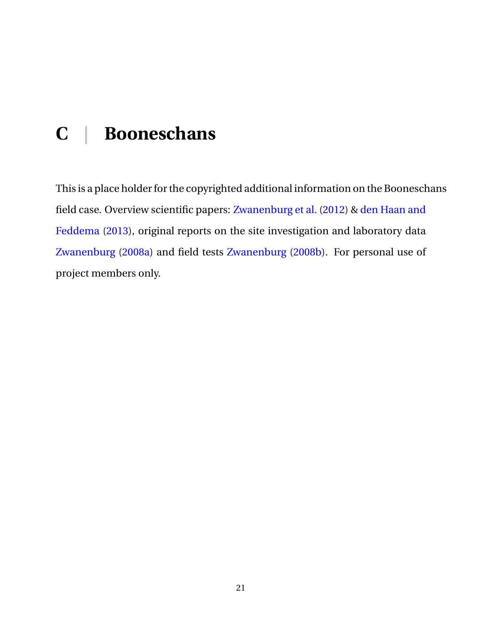# <span id="page-24-0"></span>**C | Booneschans**

This is a place holder for the copyrighted additional information on the Booneschans field case. Overview scientific papers: [Zwanenburg et al.](#page-22-1) [\(2012\)](#page-22-1) & [den Haan and](#page-19-0) [Feddema](#page-19-0) [\(2013\)](#page-19-0), original reports on the site investigation and laboratory data [Zwanenburg](#page-22-2) [\(2008a\)](#page-22-2) and field tests [Zwanenburg](#page-22-3) [\(2008b\)](#page-22-3). For personal use of project members only.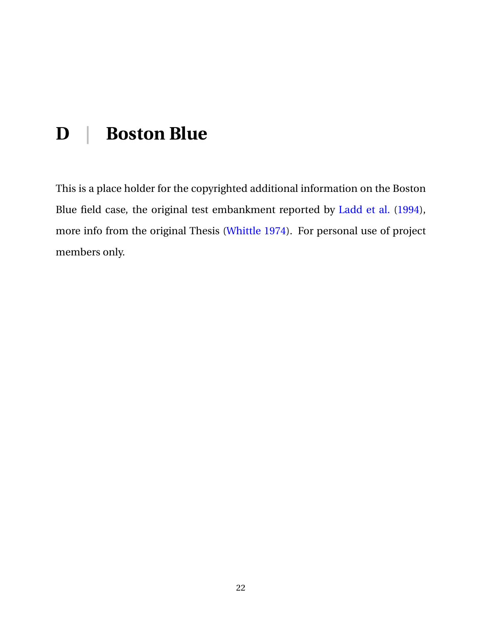## <span id="page-25-0"></span>**D | Boston Blue**

This is a place holder for the copyrighted additional information on the Boston Blue field case, the original test embankment reported by [Ladd et al.](#page-20-0) [\(1994\)](#page-20-0), more info from the original Thesis [\(Whittle](#page-22-4) [1974\)](#page-22-4). For personal use of project members only.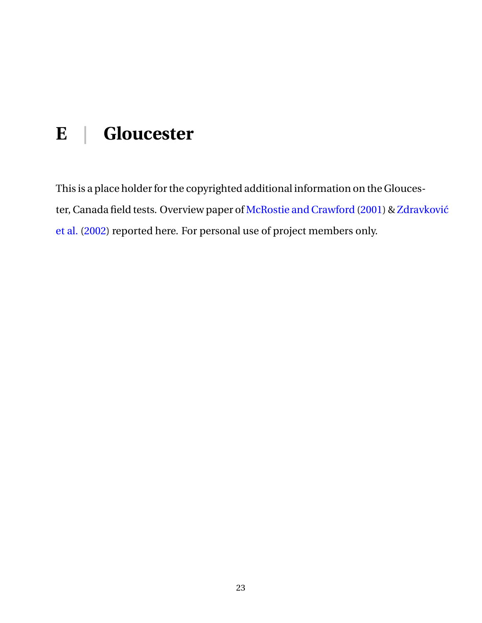# <span id="page-26-0"></span>**E | Gloucester**

This is a place holder for the copyrighted additional information on the Glouces-ter, Canada field tests. Overview paper of [McRostie and Crawford](#page-21-0) [\(2001\)](#page-21-0) & [Zdravk](#page-22-5)ović [et al.](#page-22-5) [\(2002\)](#page-22-5) reported here. For personal use of project members only.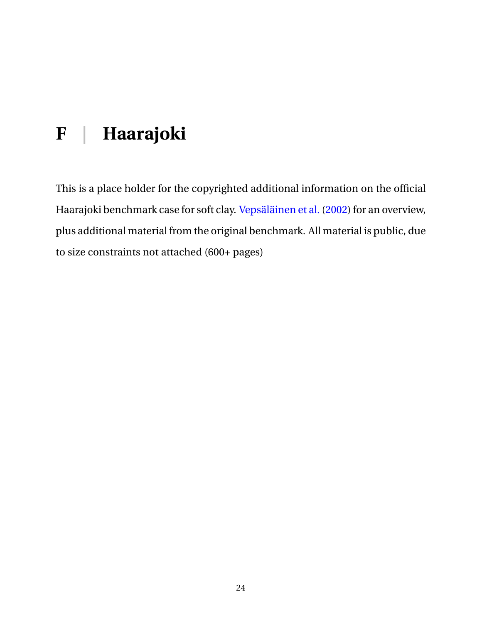# <span id="page-27-0"></span>**F | Haarajoki**

This is a place holder for the copyrighted additional information on the official Haarajoki benchmark case for soft clay. [Vepsäläinen et al.](#page-22-6) [\(2002\)](#page-22-6) for an overview, plus additional material from the original benchmark. All material is public, due to size constraints not attached (600+ pages)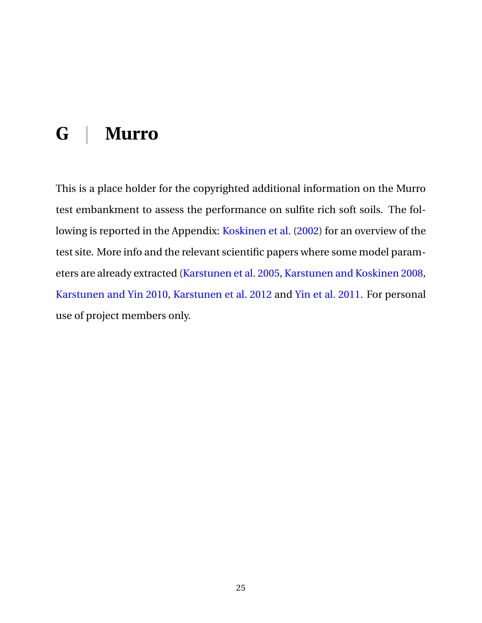## <span id="page-28-0"></span>**G | Murro**

This is a place holder for the copyrighted additional information on the Murro test embankment to assess the performance on sulfite rich soft soils. The following is reported in the Appendix: [Koskinen et al.](#page-20-1) [\(2002\)](#page-20-1) for an overview of the test site. More info and the relevant scientific papers where some model parameters are already extracted [\(Karstunen et al.](#page-20-2) [2005,](#page-20-2) [Karstunen and Koskinen](#page-20-3) [2008,](#page-20-3) [Karstunen and Yin](#page-20-4) [2010,](#page-20-4) [Karstunen et al.](#page-20-5) [2012](#page-20-5) and [Yin et al.](#page-22-7) [2011.](#page-22-7) For personal use of project members only.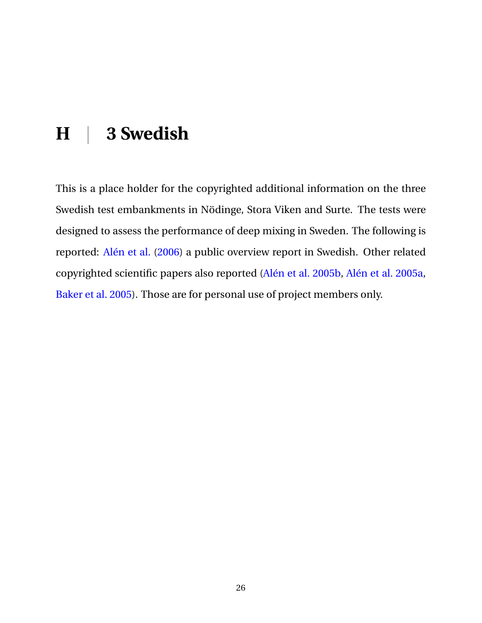## <span id="page-29-0"></span>**H | 3 Swedish**

This is a place holder for the copyrighted additional information on the three Swedish test embankments in Nödinge, Stora Viken and Surte. The tests were designed to assess the performance of deep mixing in Sweden. The following is reported: [Alén et al.](#page-18-0) [\(2006\)](#page-18-0) a public overview report in Swedish. Other related copyrighted scientific papers also reported [\(Alén et al.](#page-18-1) [2005b,](#page-18-1) [Alén et al.](#page-18-2) [2005a,](#page-18-2) [Baker et al.](#page-18-3) [2005\)](#page-18-3). Those are for personal use of project members only.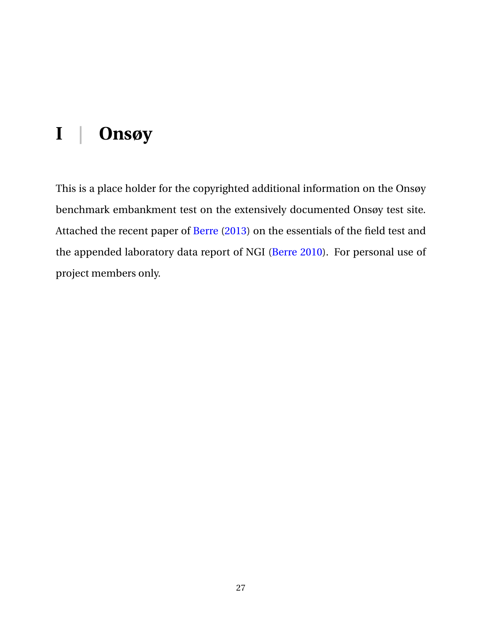# <span id="page-30-0"></span>**I | Onsøy**

This is a place holder for the copyrighted additional information on the Onsøy benchmark embankment test on the extensively documented Onsøy test site. Attached the recent paper of [Berre](#page-19-1) [\(2013\)](#page-19-1) on the essentials of the field test and the appended laboratory data report of NGI [\(Berre](#page-19-2) [2010\)](#page-19-2). For personal use of project members only.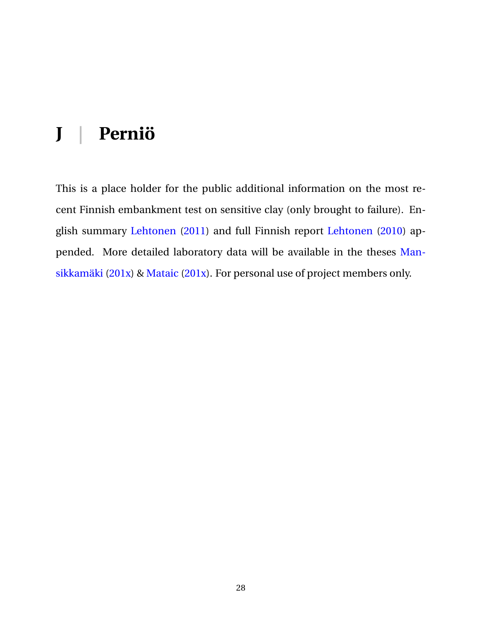## <span id="page-31-0"></span>**J | Perniö**

This is a place holder for the public additional information on the most recent Finnish embankment test on sensitive clay (only brought to failure). English summary [Lehtonen](#page-21-1) [\(2011\)](#page-21-1) and full Finnish report [Lehtonen](#page-20-6) [\(2010\)](#page-20-6) appended. More detailed laboratory data will be available in the theses [Man](#page-21-2)[sikkamäki](#page-21-2) [\(201x\)](#page-21-2) & [Mataic](#page-21-3) [\(201x\)](#page-21-3). For personal use of project members only.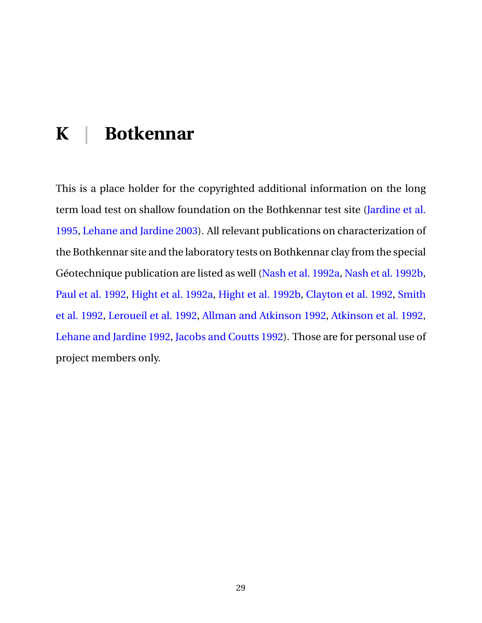## <span id="page-32-0"></span>**K | Botkennar**

This is a place holder for the copyrighted additional information on the long term load test on shallow foundation on the Bothkennar test site [\(Jardine et al.](#page-19-3) [1995,](#page-19-3) [Lehane and Jardine](#page-20-7) [2003\)](#page-20-7). All relevant publications on characterization of the Bothkennar site and the laboratory tests on Bothkennar clay from the special Géotechnique publication are listed as well [\(Nash et al.](#page-21-4) [1992a,](#page-21-4) [Nash et al.](#page-21-5) [1992b,](#page-21-5) [Paul et al.](#page-21-6) [1992,](#page-21-6) [Hight et al.](#page-19-4) [1992a,](#page-19-4) [Hight et al.](#page-19-5) [1992b,](#page-19-5) [Clayton et al.](#page-19-6) [1992,](#page-19-6) [Smith](#page-21-7) [et al.](#page-21-7) [1992,](#page-21-7) [Leroueil et al.](#page-21-8) [1992,](#page-21-8) [Allman and Atkinson](#page-18-4) [1992,](#page-18-4) [Atkinson et al.](#page-18-5) [1992,](#page-18-5) [Lehane and Jardine](#page-20-8) [1992,](#page-20-8) [Jacobs and Coutts](#page-19-7) [1992\)](#page-19-7). Those are for personal use of project members only.